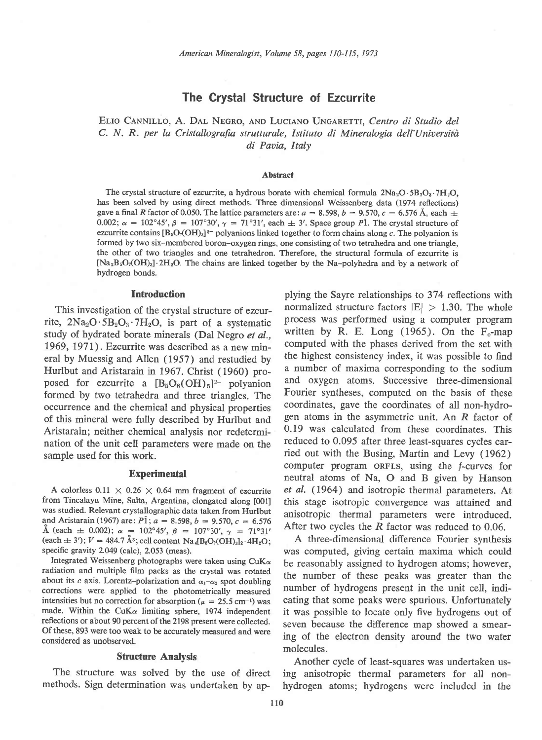# The Crystal Structure of Ezcurrite

ELIO CANNILLO, A. DAL NEGRO, AND LUCIANO UNGARETTI, Centro di Studio del C. N. R. per la Cristallografia strutturale, Istituto di Mineralogia dell'Università di Pavia, Italy

#### Abstract

The crystal structure of ezcurrite, a hydrous borate with chemical formula  $2Na_2O \cdot 5B_2O_3 \cdot 7H_2O$ , has been solved by using direct methods. Three dimensional Weissenberg data (1974 reflections) gave a final R factor of 0.050. The lattice parameters are:  $a = 8.598$ ,  $b = 9.570$ ,  $c = 6.576$  Å, each  $\pm$ 0.002;  $\alpha = 102^{\circ}45'$ ,  $\beta = 107^{\circ}30'$ ,  $\gamma = 71^{\circ}31'$ , each  $\pm$  3'. Space group Pl. The crystal structure of ezcurrite contains  $[B_5O_7(OH)_3]^2$  polyanions linked together to form chains along c. The polyanion is formed by two six-membered boron-oxygen rings, one consisting of two tetrahedra and one triangle, the other of two triangles and one tetrahedron. Therefore, the structural formula of ezcurrite is  $[Na_2B_5O_7(OH)_3]$ . 2H<sub>2</sub>O. The chains are linked together by the Na-polyhedra and by a network of hydrogen bonds.

#### Introduction

This investigation of the crystal structure of ezcurrite,  $2Na_2O \cdot 5B_2O_3 \cdot 7H_2O$ , is part of a systematic study of hydrated borate minerals (Dal Negro et al., 1969, 1971). Ezcurrite was described as a new mineral by Muessig and Allen (1957) and restudied by Hurlbut and Aristarain in 1967. Christ (1960) proposed for ezcurrite a  $[B_5O_6(OH)_5]^2$ - polyanion formed by two tetrahedra and three triangles. The occurrence and the chemical and physical properties of this mineral were fully described by Hurlbut and Aristarain; neither chemical analysis nor redetermination of the unit cell parameters were made on the sample used for this work.

### **Experimental**

A colorless 0.11  $\times$  0.26  $\times$  0.64 mm fragment of ezcurrite from Tincalayu Mine, Salta, Argentina, elongated along [001] was studied. Relevant crystallographic data taken from Hurlbut and Aristarain (1967) are:  $P_1$ ;  $a = 8.598$ ,  $b = 9.570$ ,  $c = 6.576$ A (each  $\pm$  0.002);  $\alpha$  = 102°45',  $\beta$  = 107°30',  $\gamma$  = 71°31' (each  $\pm$  3');  $V = 484.7 \text{ Å}^3$ ; cell content Na<sub>4</sub>[B<sub>5</sub>O<sub>7</sub>(OH)<sub>3</sub>]<sub>2</sub>.4H<sub>2</sub>O; specific gravity 2.O49 (calc), 2.053 (meas).

Integrated Weissenberg photographs were taken using  $CuK\alpha$ radiation and multiple film packs as the crystal was rotated about its c axis. Lorentz-polarization and  $\alpha_1-\alpha_2$  spot doubling corrections were applied to the photometrically measured intensities but no correction for absorption ( $\mu = 25.5$  cm<sup>-1</sup>) was made. Within the CuK $\alpha$  limiting sphere, 1974 independent reflections or about 90 percent of the 2198 present were collected. Of these, 893 were too weak to be accurately measured and were considered as unobserved.

### Structure Analysis

plying the Sayre relationships to 374 reflections with normalized structure factors  $|E| > 1.30$ . The whole process was performed using a computer program written by R. E. Long  $(1965)$ . On the F<sub>o</sub>-map computed with the phases derived from the set with the highest consistency index, it was possible to find a number of maxima corresponding to the sodium and oxygen atoms. Successive three-dimensional Fourier syntheses, computed on the basis of these coordinates, gave the coordinates of all non-hydrogen atoms in the asymmetric unit. An R factor of 0.19 was calculated from these coordinates. This reduced to 0.095 after three least-squares cycles carried out with the Busing, Martin and Levy (1962) computer program oRFLs, using the f-curves for neutral atoms of Na, O and B given by Hanson et al. (1964) and isotropic thermal parameters. At this stage isotropic convergence was attained and anisotropic thermal parameters were introduced. After two cycles the  $R$  factor was reduced to 0.06.

A three-dimensional difference Fourier synthesis was computed, giving certain maxima which could be reasonably assigned to hydrogen atoms; however, the number of these peaks was greater than the number of hydrogens present in the unit cell, indicating that some peaks were spurious. Unfortunately it was possible to locate only five hydrogens out of seven because the difference map showed a smearing of the electron density around the two water molecules.

The structure was solved by the use of direct ing anisotropic thermal parameters for all nonmethods. Sign determination was undertaken by ap- hydrogen atoms; hydrogens were included in the Another cycle of least-squares was undertaken us-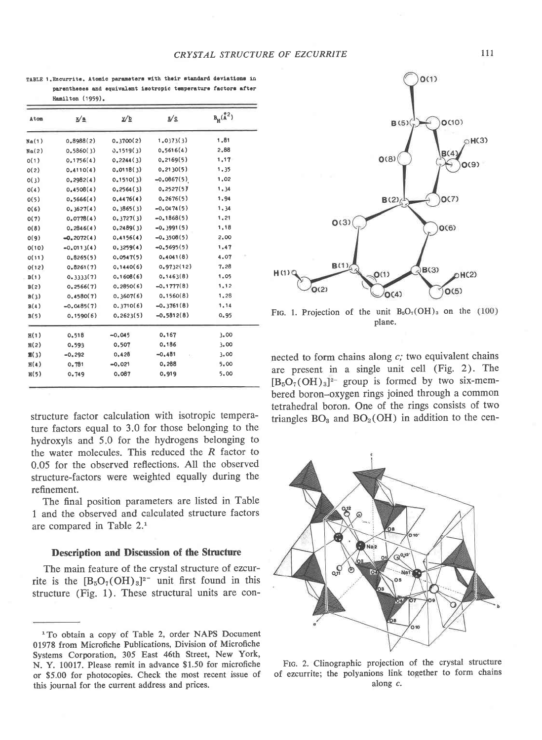| Atom            | x⁄≞           | ⊻/⊵        | 2/c           | $B_H(\overset{\circ}{A}{}^2)$ |  |  |
|-----------------|---------------|------------|---------------|-------------------------------|--|--|
| Na(1)           | 0,8988(2)     | 0.3700(2)  | 1.0373(3)     | 1,81                          |  |  |
| Na(2)           | 0,5860(3)     | 0.1519(3)  | 0.5616(4)     | 2,88                          |  |  |
| 0(1)            | 0.1756(4)     | 0, 2244(3) | 0, 2169(5)    | 1,17                          |  |  |
| O(2)            | 0.4110(4)     | 0.0118(3)  | 0, 2130(5)    | 1.35                          |  |  |
| O(3)            | 0.2982(4)     | 0.1510(3)  | $-0.0867(5)$  | 1,02                          |  |  |
| O(4)            | 0.4508(4)     | 0.2564(3)  | 0.2527(5)     | 1.34                          |  |  |
| O(5)            | 0,5666(4)     | 0.4476(4)  | 0.2676(5)     | 1.94                          |  |  |
| O(6)            | 0,3627(4)     | 0, 3865(3) | $-0.0474(5)$  | 1.34                          |  |  |
| O(7)            | 0.0778(4)     | 0.3727(3)  | $-0.1868(5)$  | 1,21                          |  |  |
| O(8)            | 0,2846(4)     | 0, 2489(3) | $-0.3991(5)$  | 1,18                          |  |  |
| O(9)            | $-0, 2072(4)$ | 0,4156(4)  | $-0.3508(5)$  | 2,00                          |  |  |
| O(10)           | $-0.0113(4)$  | 0, 3259(4) | $-0.5695(5)$  | 1,47                          |  |  |
| O(11)           | 0,8265(5)     | 0.0547(5)  | 0,4041(8)     | 4.07                          |  |  |
| O(12)           | 0.8261(7)     | 0.1440(6)  | 0,9732(12)    | 7,28                          |  |  |
| B(1)            | 0.3333(7)     | 0.1608(6)  | 0.1463(8)     | 1.05                          |  |  |
| B(2)            | 0.2566(7)     | 0.2850(6)  | $-0.1777(8)$  | 1,12                          |  |  |
| B(3)            | 0,4580(7)     | 0.3607(6)  | 0,1560(8)     | 1,28                          |  |  |
| B(4)            | $-0.0485(7)$  | 0.3710(6)  | $-0.3761(8)$  | 1,14                          |  |  |
| B(5)            | 0.1590(6)     | 0.2623(5)  | $-0.5812(8)$  | 0.95                          |  |  |
| H(1)            | 0.518         | $-0.045$   | 0.167         | 3.00                          |  |  |
| H(2)            | 0.593         | 0.507      | 0.186         | 3.00                          |  |  |
| $\mathbf{H}(3)$ | $-0.292$      | 0.428      | $-0,481$<br>5 | 3.00                          |  |  |
| H(4)            | 0.781         | $-0.021$   | 0,288         | 5.00                          |  |  |
| H(5)            | 0.749         | 0.087      | 0.919         | 5,00                          |  |  |

TABLE 1. Ezcurrite. Atomic parameters with their standard deviations in parentheses and equivalent isotropic temperature factors after **Hemilton** (1959).

structure factor calculation with isotropic temperature factors equal to 3.0 for those belonging to the hydroxyls and 5.0 for the hydrogens belonging to the water molecules. This reduced the  $R$  factor to 0.05 for the observed reflections. All the observed structure-factors were weighted equally during the refinement.

The final position parameters are listed in Table 1 and the observed and calculated structure factors are compared in Table 2.1

# **Description and Discussion of the Structure**

The main feature of the crystal structure of ezcurrite is the  $[B_5O_7(OH)_3]^{2}$  unit first found in this structure (Fig. 1). These structural units are con-



FIG. 1. Projection of the unit  $B_5O_7(OH)_3$  on the (100) plane.

nected to form chains along  $c$ ; two equivalent chains are present in a single unit cell (Fig. 2). The  $[B_5O_7(OH)_3]^{2-}$  group is formed by two six-membered boron-oxygen rings joined through a common tetrahedral boron. One of the rings consists of two triangles  $BO<sub>3</sub>$  and  $BO<sub>2</sub>(OH)$  in addition to the cen-



FIG. 2. Clinographic projection of the crystal structure of ezcurrite; the polyanions link together to form chains along c.

<sup>&</sup>lt;sup>1</sup> To obtain a copy of Table 2, order NAPS Document 01978 from Microfiche Publications, Division of Microfiche Systems Corporation, 305 East 46th Street, New York, N. Y. 10017. Please remit in advance \$1.50 for microfiche or \$5.00 for photocopies. Check the most recent issue of this journal for the current address and prices.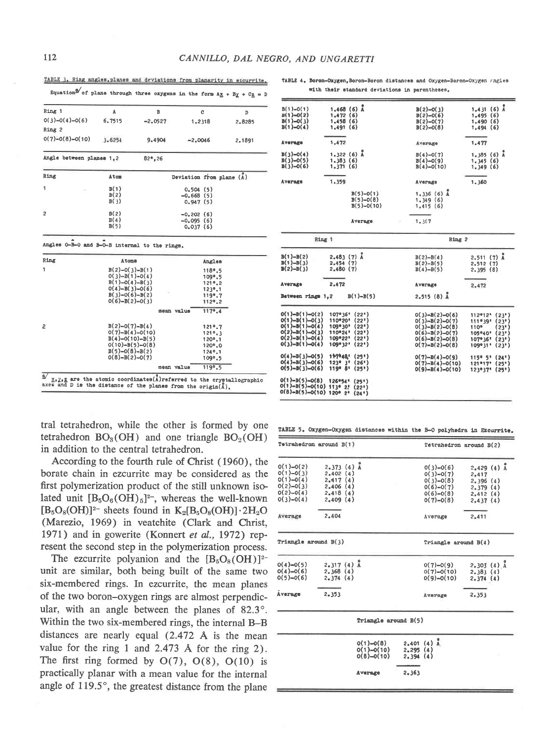Ring

 $\mathbf{1}$ 

 $\overline{c}$ 

 $B(1)-O(1)$ 

 $B(1)=0(2)$ <br> $B(1)=0(3)$ <br> $B(1)=0(4)$ 

**Average** 

| Ring 1                   | A      | в         |                                                    | $-$    |  |
|--------------------------|--------|-----------|----------------------------------------------------|--------|--|
| $0(3)-0(4)-0(6)$         | 6.7515 |           | C                                                  | D      |  |
| Ring 2                   |        | $-2.0527$ | 1,2318                                             | 2.8285 |  |
| $0(7)-0(8)-0(10)$        | 3.6254 | 9.4904    | $-2.0046$                                          | 2.1891 |  |
| Angle between planes 1,2 |        | 82°, 26   |                                                    |        |  |
| Ring                     | Atom   |           | Deviation from plane $(\stackrel{\circ}{\Lambda})$ |        |  |
| $\mathbf{1}$             | B(1)   |           | 0.504(5)                                           |        |  |
|                          | B(2)   |           | $-0.668(5)$                                        |        |  |
|                          | B(3)   |           | 0.947(5)                                           |        |  |
| $\overline{2}$           | B(2)   |           | $-0.202(6)$                                        |        |  |
|                          | B(4)   |           | $-0.095(6)$                                        |        |  |
|                          | B(5)   |           | 0.037(6)                                           |        |  |

Angles

118%.5

109°.5  $1219.2$  $123°.1$  $1100.7$ 

 $112°.2$ 

 $1170.4$ 

 $121°.7$ 

 $1210.3$ 1209.1

 $120°.0$ 

 $1249.1$ 

1099.5

 $119°.5$ 

mean value

mean value

Angles 0-B-0 and B-0-B internal to the rings.

Atoma

 $B(2)-O(3)-B(1)$ 

 $B(2)=D(3)=B(1)$ <br>0(3)-B(1)-0(4)<br>B(1)-0(4)-B(3)<br>0(4)-B(3)-0(6)<br>B(3)-0(6)-B(2)

 $O(6)-B(2)-O(3)$ 

 $B(2)-O(7)-B(4)$ 

 $D(7)-B(4)-O(10)$ <br>B(4)-0(10)-B(5)

 $0(10)-B(5)-0(8)$ 

 $B(5)-O(8)-B(2)$ 

 $O(8)-B(2)-O(7)$ 

TABLE 3. Ring angles, planes and deviations from planarity in ezcurrite. Equation  $\frac{3}{2}$  of plane through three oxygens in the form  $A\underline{x} + B\underline{y} + C\underline{z} =$ 

TABLE 4. Boron-Oxygen.Boron-Boron distances and Oxygen-Boron-Oxygen angles with their standard deviations in parentheses.

 $-0(3)$ 

 $B(2)-0(6)$ <br>B(2)-0(7)

 $B(2)-D(B)$ 

Average

1.431 (6)  $\lambda$ <br>1.495 (6)<br>1.490 (6)

 $1,494(6)$ 

1.477

 $1.468$  (6)  $\lambda$ <br>1.472 (6)<br>1.458 (6)<br>1.491 (6)

1.472

| $B(3)-O(4)$<br>$B(3)-0(5)$<br>$B(3)-O(6)$                                                                            | $1.322(6)$ Å<br>1.383(6)<br>1,371(6)                                                                             | $B(4)-O(7)$<br>$B(4)-O(9)$<br>$B(4)-O(10)$                                                                           | $1.385(6)$ Å<br>1,345(6)<br>1,349(6)                                                                          |
|----------------------------------------------------------------------------------------------------------------------|------------------------------------------------------------------------------------------------------------------|----------------------------------------------------------------------------------------------------------------------|---------------------------------------------------------------------------------------------------------------|
| Average                                                                                                              | 1,359                                                                                                            | Average                                                                                                              | 1,360                                                                                                         |
|                                                                                                                      | $B(5)-0(1)$<br>$B(5)-O(8)$<br>$B(5)-O(10)$                                                                       | $1.336(6)$ $A$<br>1,349(6)<br>1,415(6)                                                                               |                                                                                                               |
|                                                                                                                      | Амегада<br>÷                                                                                                     | 1.367                                                                                                                |                                                                                                               |
|                                                                                                                      | Ring 1                                                                                                           | Ring 2                                                                                                               |                                                                                                               |
| $B(1)-B(2)$<br>$B(1)-B(3)$<br>$B(2)-B(3)$                                                                            | $2,483(7)$ Å<br>2.454(7)<br>2,480(7)                                                                             | $B(2)-B(4)$<br>$B(2)-B(5)$<br>$B(4)-B(5)$                                                                            | $2,511(7)$ Å<br>2.512(7)<br>2.395(8)                                                                          |
| Average                                                                                                              | 2.472                                                                                                            | Average                                                                                                              | 2,472                                                                                                         |
| Between rings 1,2                                                                                                    | $B(1)-B(5)$                                                                                                      | $2.515(8)$ Å                                                                                                         |                                                                                                               |
| $O(1)-B(1)-O(2)$<br>$O(1)-B(1)-O(3)$<br>$O(1)-B(1)-O(4)$<br>$O(2)-B(1)-O(3)$<br>$O(2)-B(1)-O(4)$<br>$O(3)-B(1)-O(4)$ | 107°36'<br>(22!)<br>110°20'<br>(22")<br>109°30' (22")<br>$110°24'$ (22')<br>109°22"<br>(22!)<br>109°32"<br>(22!) | $0(3)-B(2)-0(6)$<br>$O(3)-B(2)-O(7)$<br>$O(3)-B(2)-O(8)$<br>$O(6)-B(2)-O(7)$<br>$O(6)-B(2)-O(8)$<br>$O(7)-B(2)-O(8)$ | 112912'<br>(23)<br>(23)<br>1119391<br>110°<br>(23')<br>105°40'<br>(23")<br>107°36"<br>(23)<br>(23)<br>109931* |
| $O(4)-B(3)-O(5)$<br>$O(4)-B(3)-O(6)$<br>$O(5)-B(3)-O(6)$                                                             | 117048'<br>(25")<br>$123°3'$ (26')<br>119° 8'<br>(25")                                                           | $O(7)-B(4)-O(9)$<br>$O(7)-B(4)-O(10)$<br>$O(9)-B(4)-O(10)$                                                           | 115°5"<br>(24)<br>$121*17*$<br>(25)<br>123*37*<br>(25!)                                                       |
| $0(1)-B(5)-0(8)$<br>$O(1)-B(5)-O(10)$ 113° 2!<br>$O(8)-B(5)-O(10)$ 120° 2'                                           | 126*54*<br>(25")<br>(22)<br>(24)                                                                                 |                                                                                                                      |                                                                                                               |

tral tetrahedron, while the other is formed by one tetrahedron  $BO_3(OH)$  and one triangle  $BO_2(OH)$ in addition to the central tetrahedron.

 $\frac{3}{2}$   $\frac{1}{2}$ ,  $\frac{1}{2}$ , are the atomic coordinates(A)referred to the crystallographic axes and D is the distance of the planes from the origin(A).

According to the fourth rule of Christ (1960), the borate chain in ezcurrite may be considered as the first polymerization product of the still unknown isolated unit  $[B_5O_6(OH)_5]^{2-}$ , whereas the well-known  $[B_5O_8(OH)]^{2-}$  sheets found in  $K_2[B_5O_8(OH)] \cdot 2H_2O$ (Marezio, 1969) in veatchite (Clark and Christ, 1971) and in gowerite (Konnert et al., 1972) represent the second step in the polymerization process.

The ezcurrite polyanion and the  $[B_5O_8(OH)]^{2-}$ unit are similar, both being built of the same two six-membered rings. In ezcurrite, the mean planes of the two boron-oxygen rings are almost perpendicular, with an angle between the planes of 82.3°. Within the two six-membered rings, the internal B-B distances are nearly equal (2.472 Å is the mean value for the ring 1 and 2.473 Å for the ring 2). The first ring formed by  $O(7)$ ,  $O(8)$ ,  $O(10)$  is practically planar with a mean value for the internal angle of 119.5°, the greatest distance from the plane

TABLE 5. Oxygen-Oxygen distances within the B-O polyhedra in Ezcurrite.

| Tetrahedron around B(1)                                                                |                                                                            |                                             | Tetrahedron around B(2) |                                                                                        |                                                                           |
|----------------------------------------------------------------------------------------|----------------------------------------------------------------------------|---------------------------------------------|-------------------------|----------------------------------------------------------------------------------------|---------------------------------------------------------------------------|
| $0(1)-0(2)$<br>$O(1)-O(3)$<br>$O(1)-O(4)$<br>$O(2)-O(3)$<br>$O(2)-O(4)$<br>$0(3)-0(4)$ | $2.373(4)$ $A$<br>2,402(4)<br>2,417(4)<br>2,406(4)<br>2,418(4)<br>2,409(4) |                                             |                         | $0(3)-0(6)$<br>$O(3)-O(7)$<br>$O(3)-O(8)$<br>$O(6)-O(7)$<br>$O(6)-O(8)$<br>$O(7)-O(8)$ | $2,429(4)$ $\AA$<br>2.417<br>2,396(4)<br>2,379(4)<br>2,412(4)<br>2,437(4) |
| Average                                                                                | 2.404                                                                      |                                             |                         | Average                                                                                | 2.411                                                                     |
| Triangle around $B(3)$                                                                 |                                                                            |                                             |                         | Triangle around B(4)                                                                   |                                                                           |
| $0(4)-0(5)$<br>$O(4)-O(6)$<br>$0(5)-0(6)$                                              | $2.317(4)$ $\AA$<br>2,368(4)<br>2,374(4)                                   |                                             |                         | $0(7)-0(9)$<br>$0(7)-0(10)$<br>$O(9)-O(10)$                                            | $2.301(4)$ $A$<br>2,383(4)<br>2,374(4)                                    |
| Average                                                                                | 2.353                                                                      |                                             |                         | Average                                                                                | 2.353                                                                     |
|                                                                                        |                                                                            | Triangle around B(5)                        |                         |                                                                                        |                                                                           |
|                                                                                        |                                                                            | $O(1)-O(8)$<br>$O(1)-O(10)$<br>$O(8)-O(10)$ | 2,295(4)<br>2,394(4)    | $2,401(4)$ $\lambda$                                                                   |                                                                           |
|                                                                                        |                                                                            | Average                                     | 2.363                   |                                                                                        |                                                                           |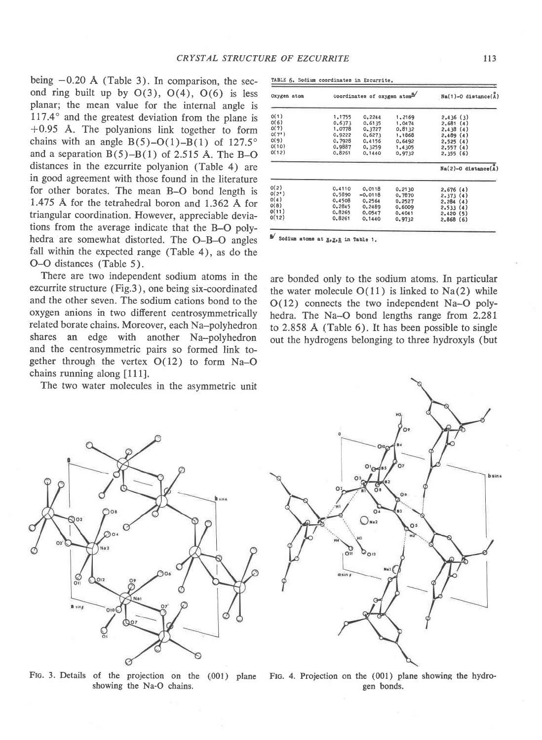being  $-0.20$  Å (Table 3). In comparison, the second ring built up by  $O(3)$ ,  $O(4)$ ,  $O(6)$  is less planar; the mean value for the internal angle is  $117.4^\circ$  and the greatest deviation from the plane is +0.95 A. The polyanions link together to form chains with an angle  $B(5)-O(1)-B(1)$  of 127.5° and a separation  $B(5)-B(1)$  of 2.515 Å. The B-O distances in the ezcurrite polyanion (Table 4) are in good agreement with those found in the literature for other borates. The mean B-O bond length is 1.475 Å for the tetrahedral boron and  $1.362$  Å for triangular coordination. However, appreciable deviations from the average indicate that the B-O polyhedra are somewhat distorted. The O-B-O angles fall within the expected range (Table 4), as do the O-O distances (Table 5).

There are two independent sodium atoms in the ezcurrite structure (Fig.3), one being six-coordinated and the other seven. The sodium cations bond to the oxygen anions in two different centrosymmetrically related borate chains. Moreover, each Na-polyhedron shares an edge with another Na-polyhedron and the centrosymmetric pairs so formed link together through the vertex  $O(12)$  to form Na-O chains running along [111].

The two water molecules in the asymmetric unit



|        |           | $Na(1)-O$ distance(A) |                             |
|--------|-----------|-----------------------|-----------------------------|
| 1,1755 | 0.2244    | 1,2169                | 2,436(3)                    |
| 0,6373 | 0.6135    | 1,0474                | 2.681(4)                    |
| 1,0778 | 0.3727    | 0.8132                | 2,438(4)                    |
| 0.9222 | 0.6273    | 1,1868                | 2,489(4)                    |
| 0.7928 | 0.4156    | 0.6492                | 2,525(4)                    |
| 0.9887 | 0.3259    | 1,4305                | 2,557(4)                    |
| 0.8261 | 0.1440    | 0.9732                | 2,355(6)                    |
|        |           |                       | $Na(2)-0$ distance $(A)$    |
| 0.4110 | 0.0118    | 0.2130                | 2,676(4)                    |
| 0.5890 | $-0.0118$ | 0.7870                | 2,373(4)                    |
| 0.4508 | 0.2564    | 0.2527                | 2,284(4)                    |
| 0.2845 | 0.2489    | 0.6009                | 2,533(4)                    |
| 0.8265 | 0.0547    | 0.4041                | 2.420(5)                    |
| 0.8261 | 0.1440    | 0.9732                | 2,868(6)                    |
|        |           |                       | Coordinates of oxygen atomy |

Sodium atoms at  $\underline{x}, \underline{y}, \underline{z}$  in Table 1.

are bonded only to the sodium atoms. In particular the water molecule  $O(11)$  is linked to Na(2) while O(I2) connects the two independent Na-O polyhedra. The Na-O bond lengths range from  $2.281$ to 2.858 A (Table 6). It has been possible to single out the hydrogens belonging to three hydroxyls (but



FIG. 3. Details of the projection on the (001) plane FIG. 4. Projection on the (001) plane showing the hydroshowing the Na-O chains.



gen bonds.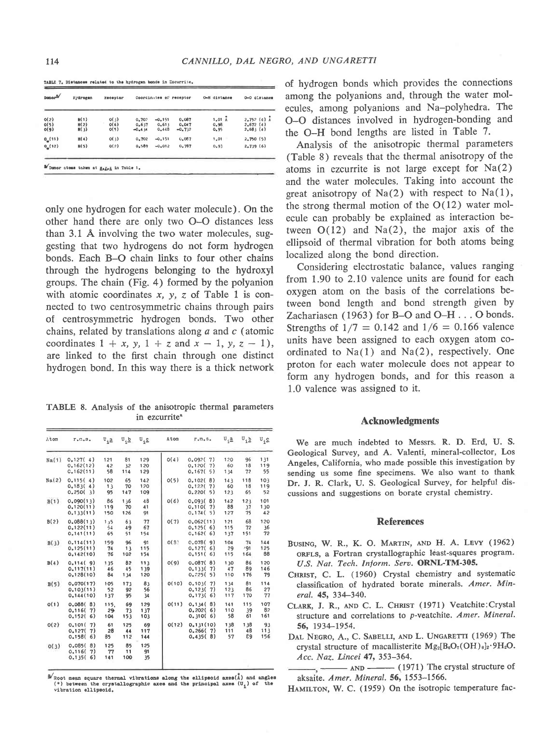TABLE 7. Distances related to the hydrogen bonds in Ezcurrite.

| $Donor^2$            | Hydrogen             | Receptor             |                            | Coordinates of receptor    |                            | 0-H distance          | 0-0 distanca                           |  |
|----------------------|----------------------|----------------------|----------------------------|----------------------------|----------------------------|-----------------------|----------------------------------------|--|
| O(2)<br>O(5)<br>O(9) | M(1)<br>H(2)<br>H(3) | O(3)<br>O(6)<br>O(5) | 0.70?<br>0.637<br>$-0.434$ | $-0.151$<br>0.613<br>0.448 | 0.087<br>0.047<br>$-0.732$ | 1.01A<br>0.98<br>0.95 | $2.752(4)$ Å<br>2.672(4)<br>$2,68$ {4} |  |
| 0(11)                | H(4)                 | O(3)                 | 0.702                      | $-0.151$                   | 0.087                      | 1,01                  | 2,750(5)                               |  |
| 0(12)                | H(5)                 | Q(2)                 | 0.589                      | $-0.012$                   | 0.787                      | 0.93                  | 2,739(6)                               |  |

only one hydrogen for each water molecule). On the other hand there are only two O-O distances less than 3.1 A involving the two water molecules, suggesting that two hydrogens do not form hydrogen bonds. Each B-O chain links to four other chains through the hydrogens belonging to the hydroxyl groups. The chain (Fig. 4) formed by the polyanion with atomic coordinates  $x$ ,  $y$ ,  $z$  of Table 1 is connected to two centrosymmetric chains through pairs of centrosymmetric hydrogen bonds. Two other chains, related by translations along  $a$  and  $c$  (atomic coordinates  $1 + x$ , y,  $1 + z$  and  $x - 1$ , y,  $z - 1$ ), are linked to the first chain through one distinct hydrogen bond. In this way there is a thick network

TABLE 8. Analysis of the anisotropic thermal parameters in ezcurrite<sup>a</sup>

| Atom  | $r, n, s$ .                                  | $\mathbf{U}_{i\cdot 2}$ | $U_i \underline{b}$ $U_i \underline{c}$ |                   | Atom  | $\Gamma_\bullet\,\Pi_\bullet\,\mathbb{S}_\bullet$ | $U_i \underline{a}$ | $\mathbf{u}$ in  | $U_i \subseteq$  |
|-------|----------------------------------------------|-------------------------|-----------------------------------------|-------------------|-------|---------------------------------------------------|---------------------|------------------|------------------|
| Na(1) | 0.127(4)<br>0.162(12)<br>C.162(11)           | 121<br>42<br>58         | 81<br>32<br>114                         | 129<br>120<br>129 | O(4)  | 0,092(7)<br>0.120(<br>7)<br>0.167(5)              | 120<br>60<br>134    | 96<br>18<br>72   | 131<br>119<br>55 |
| Na(2) | 0.115(4)<br>0,183(4)<br>0,250(3)             | 102<br>13<br>95         | 65<br>70<br>147                         | 142<br>120<br>109 | O(5)  | 8)<br>0.102(<br>0,122(7)<br>0.220(5)              | 143<br>60<br>123    | 118<br>18<br>65  | 103<br>119<br>52 |
| B(1)  | 0.090(13)<br>0.120(11)<br>0.133(11)          | 86<br>119<br>150        | 136<br>70<br>126                        | 48<br>41<br>91    | 0(6)  | 0.093(8)<br>0.110(7)<br>0.174(5)                  | 142<br>88<br>127    | 123<br>37<br>75  | 101<br>130<br>42 |
| B(2)  | 0.088(13)<br>0,122(11)<br>0.141(11)          | 1,5<br>54<br>65         | 63<br>49<br>51                          | 77<br>67<br>154   | O(7)  | 0.062(11)<br>0.125(6)<br>0.162(6)                 | 121<br>115<br>137   | 68<br>72<br>151  | 120<br>36<br>72  |
| B(3)  | 0.114(11)<br>0.125(11)<br>0.142(10)          | 159<br>74<br>76         | 96<br>13<br>102                         | 91<br>115<br>154  | O(3)  | 0.078(9)<br>0.127(6)<br>0.151(6)                  | 104<br>29<br>115    | 74<br>.91<br>164 | 144<br>125<br>88 |
| B(4)  | 0.114(9)<br>0.117(11)<br>0.128(10)           | 135<br>46<br>84         | 82<br>45<br>1 34                        | 113<br>139<br>120 | O(9)  | 0.087(8)<br>0.133(7)<br>0.725(5)                  | 130<br>47<br>110    | 86<br>89<br>176  | 120<br>146<br>79 |
| B(5)  | 0.070(17)<br>0.103(11)<br>0.144(10)          | 105<br>52<br>137        | 173<br>92<br>95                         | 83<br>56<br>34    | O(10) | 0.103(<br>7)<br>0.123(7)<br>0.173(6)              | 134<br>123<br>117   | 81<br>86<br>170  | 114<br>27<br>77  |
| O(1)  | 0.088(8)<br>0.116(<br>7)<br>0.152(<br>6)     | 115.<br>29<br>104       | 69<br>73<br>153                         | 129<br>137<br>103 | O(11) | 0.134(8)<br>0.202(6)<br>0.310(6)                  | 141<br>110<br>58    | 115<br>39<br>61  | 107<br>82<br>161 |
| O(2)  | 0.101(<br>7)<br>0.127(<br>7)<br>0.158(<br>6) | 61<br>28<br>85          | 125<br>44<br>112                        | 69<br>117<br>144  | O(12) | 0.131(10)<br>0,266(7)<br>0.435(8)                 | 138<br>111<br>57    | 138<br>48<br>89  | 93<br>113<br>156 |
| O(3)  | 0.085(<br>8)<br>0,116(<br>7)<br>0.135(6)     | 125<br>77<br>141        | 85<br>11<br>100                         | 125<br>91<br>35   |       |                                                   |                     |                  |                  |
|       |                                              |                         |                                         |                   |       |                                                   |                     |                  |                  |

<sup>9</sup> Root mean square thermal vibrations along the ellipsoid axes(Ă) and angle<br>(°) between the crystallographic axes and the principal axes (U<sub>a</sub>) of the vibration ellipsoid.

of hydrogen bonds which provides the connections among the polyanions and, through the water molecules, among polyanions and Na-polyhedra. The O-O distances involved in hydrogen-bonding and the O-H bond lengths are listed in Table 7.

Analysis of the anisotropic thermal parameters (Table 8) reveals that the thermal anisotropy of the atoms in ezcurrite is not large except for Na(2) and the water molecules. Taking into account the great anisotropy of  $Na(2)$  with respect to  $Na(1)$ , the strong thermal motion of the  $O(12)$  water molecule can probably be explained as interaction between  $O(12)$  and  $Na(2)$ , the major axis of the ellipsoid of thermal vibration for both atoms being localized along the bond direction.

Considering electrostatic balance, values ranging from 1.90 to 2.lO valence units are found for each oxygen atom on the basis of the correlations between bond length and bond strength given by Zachariasen (1963) for B-O and O-H . . . O bonds. Strengths of  $1/7 = 0.142$  and  $1/6 = 0.166$  valence units have been assigned to each oxygen atom coordinated to  $Na(1)$  and  $Na(2)$ , respectively. One proton for each water molecule does not appear to form any hydrogen bonds, and for this reason a 1.0 valence was assigned to it.

# Acknowledgments

We are much indebted to Messrs. R. D. Erd, U. S. Geological Survey, and A. Valenti, mineral-collector, Los Angeles, California, who made possible this investigation by sending us some fine specimens. We also want to thank Dr. J. R. Clark, U. S. Geological Survey, for helpful discussions and suggestions on borate crystal chemistry.

# **References**

- BUSING, W. R., K. O. MARTIN, AND H. A. LEVY (1962) oRFLs, a Fortran crystallographic least-squares program. U.S. Nat. Tech. Inform. Serv. ORNL-TM-305.
- CHRIsr, C. L. (1960) Crystal chemistry and systematic classification of hydrated borate minerals. Amer. Mineral. 45,334-340.
- CLARK, J. R., AND C. L. CHRIST (1971) Veatchite: Crystal structure and correlations to p-veatchite. Amer. Mineral. s6. 193+-1954.
- DAL NEGRO, A., C. SABELLI, AND L. UNGARETTI (1969) The crystal structure of macallisterite  $Mg_2[B_6O_7(OH)_8]_2.9H_2O.$ Acc. Naz. Lincei 47, 353-364.

 $\frac{1}{4}$   $\frac{1}{4}$  AND  $\frac{1}{4}$  (1971) The crystal structure of aksaite. Amer. Mineral. 56, 1553-1566.

HAMILTON, W. C. (1959) On the isotropic temperature fac-